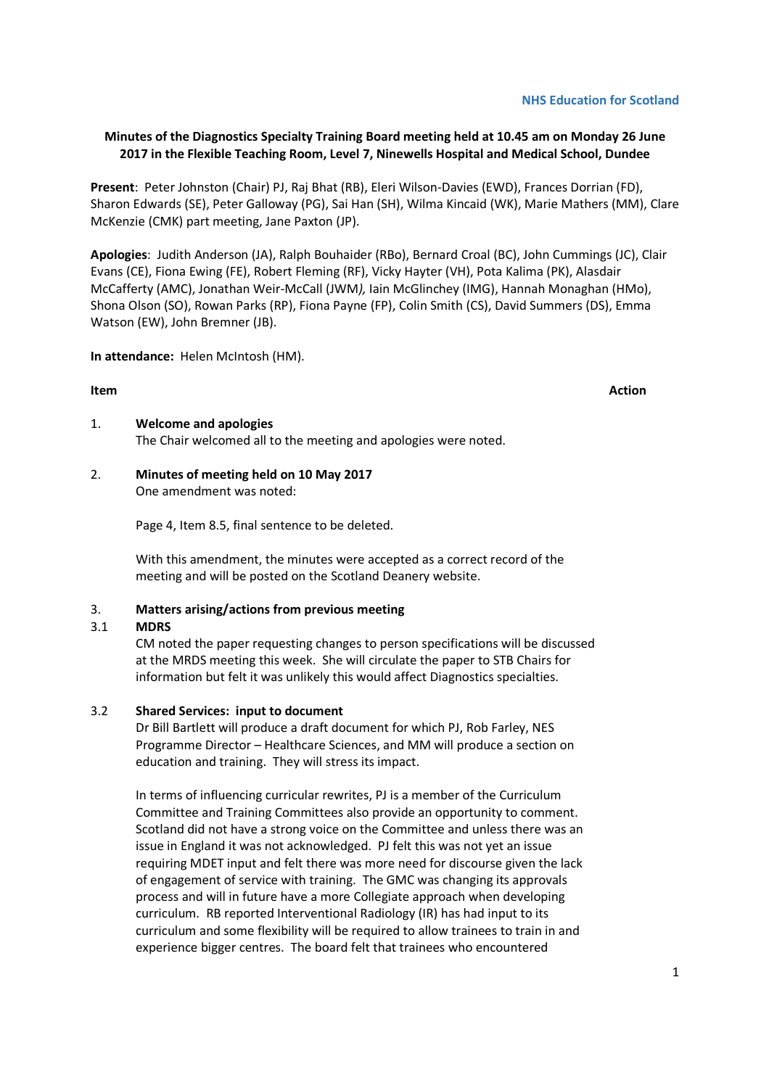1

# **NHS Education for Scotland**

# **Minutes of the Diagnostics Specialty Training Board meeting held at 10.45 am on Monday 26 June 2017 in the Flexible Teaching Room, Level 7, Ninewells Hospital and Medical School, Dundee**

**Present**: Peter Johnston (Chair) PJ, Raj Bhat (RB), Eleri Wilson-Davies (EWD), Frances Dorrian (FD), Sharon Edwards (SE), Peter Galloway (PG), Sai Han (SH), Wilma Kincaid (WK), Marie Mathers (MM), Clare McKenzie (CMK) part meeting, Jane Paxton (JP).

**Apologies**: Judith Anderson (JA), Ralph Bouhaider (RBo), Bernard Croal (BC), John Cummings (JC), Clair Evans (CE), Fiona Ewing (FE), Robert Fleming (RF), Vicky Hayter (VH), Pota Kalima (PK), Alasdair McCafferty (AMC), Jonathan Weir-McCall (JWM*),* Iain McGlinchey (IMG), Hannah Monaghan (HMo), Shona Olson (SO), Rowan Parks (RP), Fiona Payne (FP), Colin Smith (CS), David Summers (DS), Emma Watson (EW), John Bremner (JB).

**In attendance:** Helen McIntosh (HM).

#### 1. **Welcome and apologies**

The Chair welcomed all to the meeting and apologies were noted.

# 2. **Minutes of meeting held on 10 May 2017**

One amendment was noted:

Page 4, Item 8.5, final sentence to be deleted.

With this amendment, the minutes were accepted as a correct record of the meeting and will be posted on the Scotland Deanery website.

#### 3. **Matters arising/actions from previous meeting**

#### 3.1 **MDRS**

CM noted the paper requesting changes to person specifications will be discussed at the MRDS meeting this week. She will circulate the paper to STB Chairs for information but felt it was unlikely this would affect Diagnostics specialties.

#### 3.2 **Shared Services: input to document**

Dr Bill Bartlett will produce a draft document for which PJ, Rob Farley, NES Programme Director – Healthcare Sciences, and MM will produce a section on education and training. They will stress its impact.

In terms of influencing curricular rewrites, PJ is a member of the Curriculum Committee and Training Committees also provide an opportunity to comment. Scotland did not have a strong voice on the Committee and unless there was an issue in England it was not acknowledged. PJ felt this was not yet an issue requiring MDET input and felt there was more need for discourse given the lack of engagement of service with training. The GMC was changing its approvals process and will in future have a more Collegiate approach when developing curriculum. RB reported Interventional Radiology (IR) has had input to its curriculum and some flexibility will be required to allow trainees to train in and experience bigger centres. The board felt that trainees who encountered

**Item Action**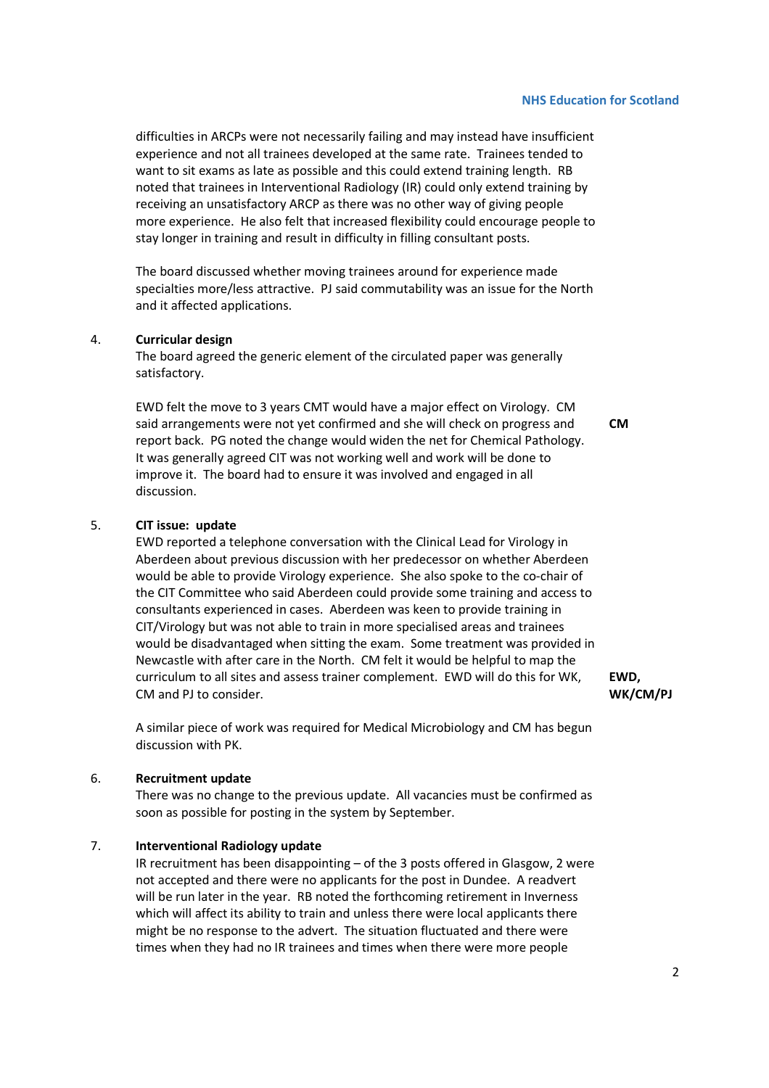#### **NHS Education for Scotland**

difficulties in ARCPs were not necessarily failing and may instead have insufficient experience and not all trainees developed at the same rate. Trainees tended to want to sit exams as late as possible and this could extend training length. RB noted that trainees in Interventional Radiology (IR) could only extend training by receiving an unsatisfactory ARCP as there was no other way of giving people more experience. He also felt that increased flexibility could encourage people to stay longer in training and result in difficulty in filling consultant posts.

The board discussed whether moving trainees around for experience made specialties more/less attractive. PJ said commutability was an issue for the North and it affected applications.

#### 4. **Curricular design**

The board agreed the generic element of the circulated paper was generally satisfactory.

EWD felt the move to 3 years CMT would have a major effect on Virology. CM said arrangements were not yet confirmed and she will check on progress and report back. PG noted the change would widen the net for Chemical Pathology. It was generally agreed CIT was not working well and work will be done to improve it. The board had to ensure it was involved and engaged in all discussion.

# **CM**

#### 5. **CIT issue: update**

EWD reported a telephone conversation with the Clinical Lead for Virology in Aberdeen about previous discussion with her predecessor on whether Aberdeen would be able to provide Virology experience. She also spoke to the co-chair of the CIT Committee who said Aberdeen could provide some training and access to consultants experienced in cases. Aberdeen was keen to provide training in CIT/Virology but was not able to train in more specialised areas and trainees would be disadvantaged when sitting the exam. Some treatment was provided in Newcastle with after care in the North. CM felt it would be helpful to map the curriculum to all sites and assess trainer complement. EWD will do this for WK, CM and PJ to consider.

**EWD, WK/CM/PJ**

A similar piece of work was required for Medical Microbiology and CM has begun discussion with PK.

#### 6. **Recruitment update**

 There was no change to the previous update. All vacancies must be confirmed as soon as possible for posting in the system by September.

#### 7. **Interventional Radiology update**

 IR recruitment has been disappointing – of the 3 posts offered in Glasgow, 2 were not accepted and there were no applicants for the post in Dundee. A readvert will be run later in the year. RB noted the forthcoming retirement in Inverness which will affect its ability to train and unless there were local applicants there might be no response to the advert. The situation fluctuated and there were times when they had no IR trainees and times when there were more people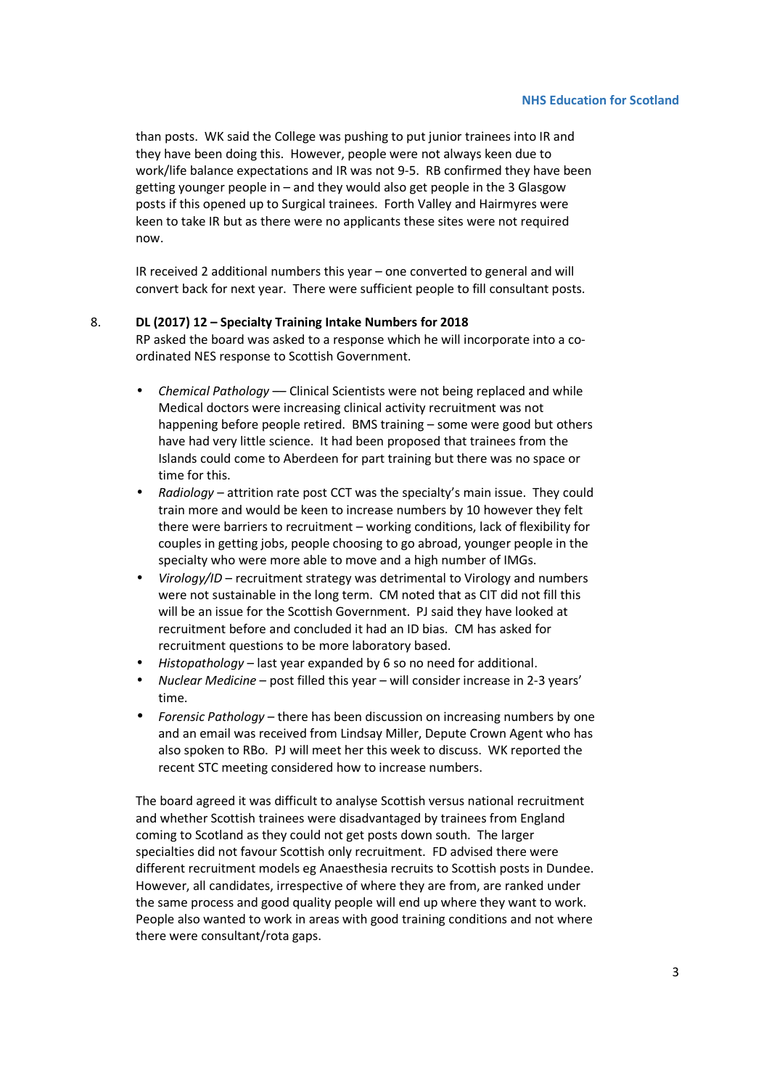than posts. WK said the College was pushing to put junior trainees into IR and they have been doing this. However, people were not always keen due to work/life balance expectations and IR was not 9-5. RB confirmed they have been getting younger people in – and they would also get people in the 3 Glasgow posts if this opened up to Surgical trainees. Forth Valley and Hairmyres were keen to take IR but as there were no applicants these sites were not required now.

IR received 2 additional numbers this year – one converted to general and will convert back for next year. There were sufficient people to fill consultant posts.

#### 8. **DL (2017) 12 – Specialty Training Intake Numbers for 2018**

RP asked the board was asked to a response which he will incorporate into a coordinated NES response to Scottish Government.

- *Chemical Pathology* –– Clinical Scientists were not being replaced and while Medical doctors were increasing clinical activity recruitment was not happening before people retired. BMS training – some were good but others have had very little science. It had been proposed that trainees from the Islands could come to Aberdeen for part training but there was no space or time for this.
- *Radiology* attrition rate post CCT was the specialty's main issue. They could train more and would be keen to increase numbers by 10 however they felt there were barriers to recruitment – working conditions, lack of flexibility for couples in getting jobs, people choosing to go abroad, younger people in the specialty who were more able to move and a high number of IMGs.
- *Virology/ID* recruitment strategy was detrimental to Virology and numbers were not sustainable in the long term. CM noted that as CIT did not fill this will be an issue for the Scottish Government. PJ said they have looked at recruitment before and concluded it had an ID bias. CM has asked for recruitment questions to be more laboratory based.
- *Histopathology*  last year expanded by 6 so no need for additional.
- *Nuclear Medicine* post filled this year will consider increase in 2-3 years' time.
- *Forensic Pathology* there has been discussion on increasing numbers by one and an email was received from Lindsay Miller, Depute Crown Agent who has also spoken to RBo. PJ will meet her this week to discuss. WK reported the recent STC meeting considered how to increase numbers.

 The board agreed it was difficult to analyse Scottish versus national recruitment and whether Scottish trainees were disadvantaged by trainees from England coming to Scotland as they could not get posts down south. The larger specialties did not favour Scottish only recruitment. FD advised there were different recruitment models eg Anaesthesia recruits to Scottish posts in Dundee. However, all candidates, irrespective of where they are from, are ranked under the same process and good quality people will end up where they want to work. People also wanted to work in areas with good training conditions and not where there were consultant/rota gaps.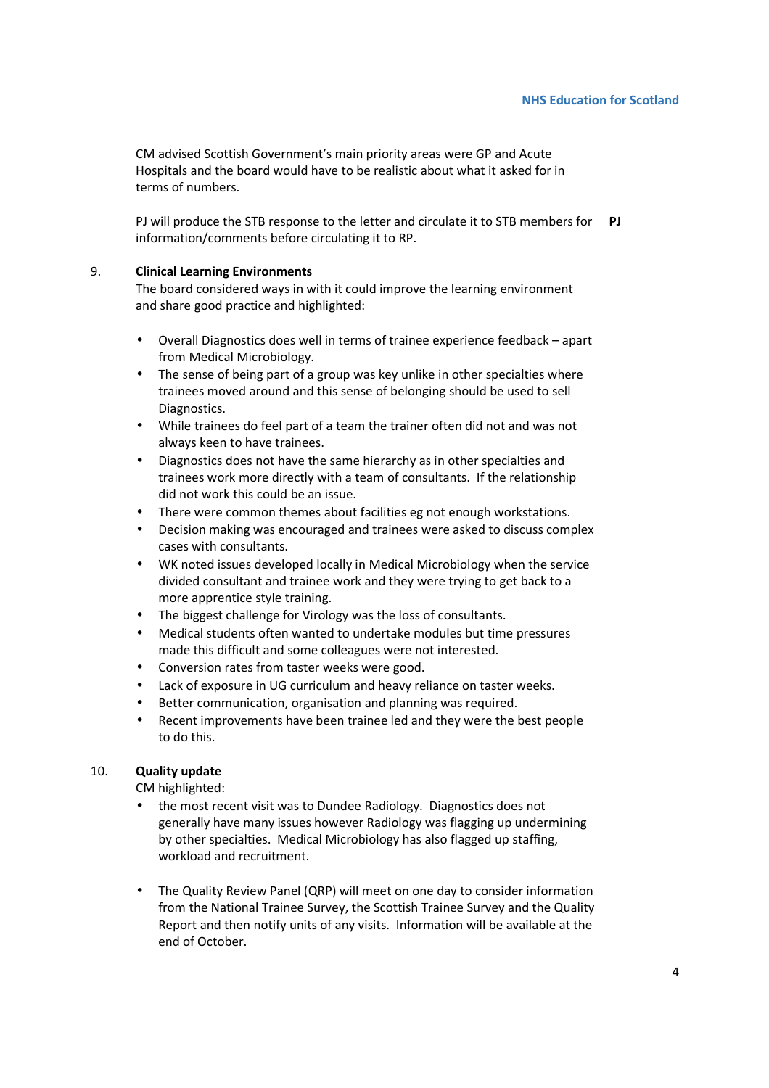CM advised Scottish Government's main priority areas were GP and Acute Hospitals and the board would have to be realistic about what it asked for in terms of numbers.

PJ will produce the STB response to the letter and circulate it to STB members for **PJ**  information/comments before circulating it to RP.

#### 9. **Clinical Learning Environments**

The board considered ways in with it could improve the learning environment and share good practice and highlighted:

- Overall Diagnostics does well in terms of trainee experience feedback apart from Medical Microbiology.
- The sense of being part of a group was key unlike in other specialties where trainees moved around and this sense of belonging should be used to sell Diagnostics.
- While trainees do feel part of a team the trainer often did not and was not always keen to have trainees.
- Diagnostics does not have the same hierarchy as in other specialties and trainees work more directly with a team of consultants. If the relationship did not work this could be an issue.
- There were common themes about facilities eg not enough workstations.
- Decision making was encouraged and trainees were asked to discuss complex cases with consultants.
- WK noted issues developed locally in Medical Microbiology when the service divided consultant and trainee work and they were trying to get back to a more apprentice style training.
- The biggest challenge for Virology was the loss of consultants.
- Medical students often wanted to undertake modules but time pressures made this difficult and some colleagues were not interested.
- Conversion rates from taster weeks were good.
- Lack of exposure in UG curriculum and heavy reliance on taster weeks.
- Better communication, organisation and planning was required.
- Recent improvements have been trainee led and they were the best people to do this.

# 10. **Quality update**

CM highlighted:

- the most recent visit was to Dundee Radiology. Diagnostics does not generally have many issues however Radiology was flagging up undermining by other specialties. Medical Microbiology has also flagged up staffing, workload and recruitment.
- The Quality Review Panel (QRP) will meet on one day to consider information from the National Trainee Survey, the Scottish Trainee Survey and the Quality Report and then notify units of any visits. Information will be available at the end of October.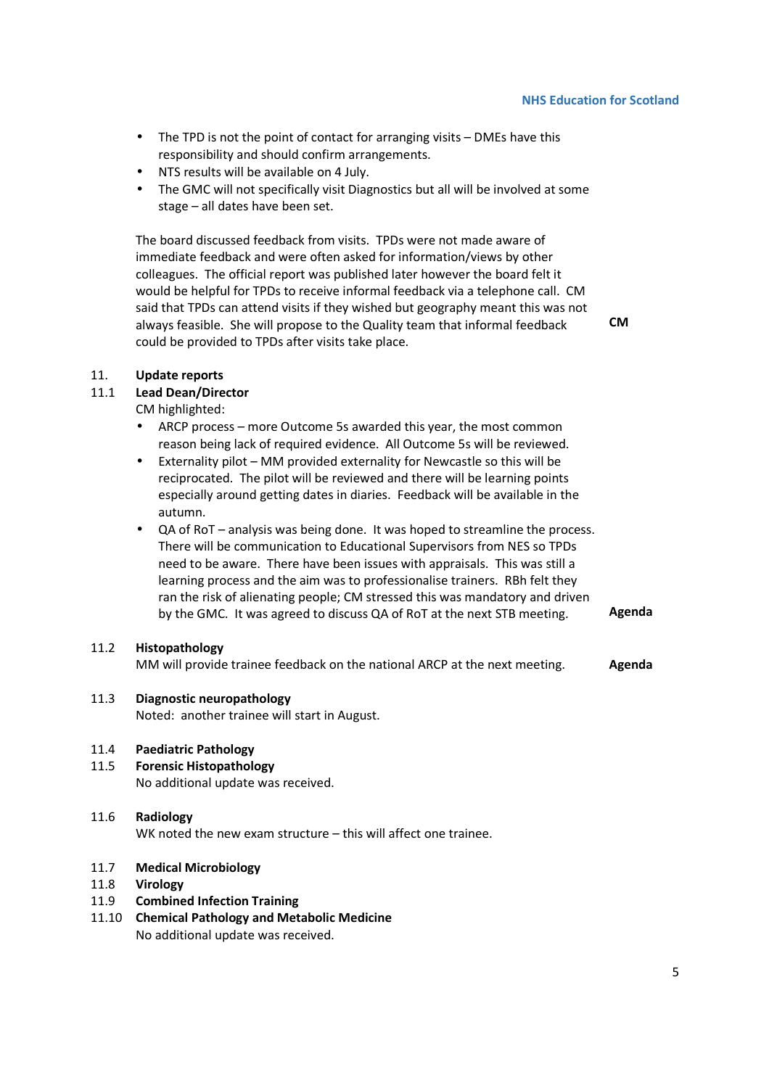- The TPD is not the point of contact for arranging visits DMEs have this responsibility and should confirm arrangements.
- NTS results will be available on 4 July.
- The GMC will not specifically visit Diagnostics but all will be involved at some stage – all dates have been set.

The board discussed feedback from visits. TPDs were not made aware of immediate feedback and were often asked for information/views by other colleagues. The official report was published later however the board felt it would be helpful for TPDs to receive informal feedback via a telephone call. CM said that TPDs can attend visits if they wished but geography meant this was not always feasible. She will propose to the Quality team that informal feedback could be provided to TPDs after visits take place.

**CM** 

### 11. **Update reports**

#### 11.1 **Lead Dean/Director**

CM highlighted:

- ARCP process more Outcome 5s awarded this year, the most common reason being lack of required evidence. All Outcome 5s will be reviewed.
- Externality pilot MM provided externality for Newcastle so this will be reciprocated. The pilot will be reviewed and there will be learning points especially around getting dates in diaries. Feedback will be available in the autumn.
- QA of RoT analysis was being done. It was hoped to streamline the process. There will be communication to Educational Supervisors from NES so TPDs need to be aware. There have been issues with appraisals. This was still a learning process and the aim was to professionalise trainers. RBh felt they ran the risk of alienating people; CM stressed this was mandatory and driven by the GMC. It was agreed to discuss QA of RoT at the next STB meeting. **Agenda**

#### 11.2 **Histopathology**

MM will provide trainee feedback on the national ARCP at the next meeting. **Agenda** 

# 11.3 **Diagnostic neuropathology**

Noted: another trainee will start in August.

#### 11.4 **Paediatric Pathology**

- 11.5 **Forensic Histopathology**
	- No additional update was received.
- 11.6 **Radiology**

WK noted the new exam structure – this will affect one trainee.

#### 11.7 **Medical Microbiology**

11.8 **Virology** 

# 11.9 **Combined Infection Training**

11.10 **Chemical Pathology and Metabolic Medicine** No additional update was received.